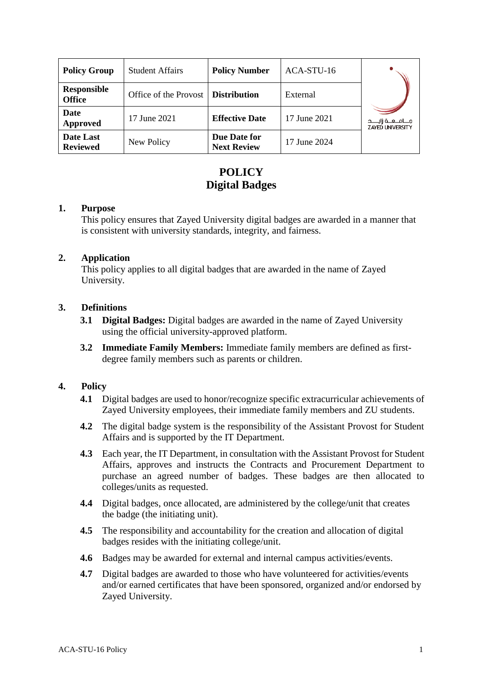| <b>Policy Group</b>                 | <b>Student Affairs</b>               | <b>Policy Number</b>               | ACA-STU-16   |                         |
|-------------------------------------|--------------------------------------|------------------------------------|--------------|-------------------------|
| <b>Responsible</b><br><b>Office</b> | Office of the Provost   Distribution |                                    | External     |                         |
| Date<br>Approved                    | 17 June 2021                         | <b>Effective Date</b>              | 17 June 2021 | <b>ZAYED UNIVERSITY</b> |
| Date Last<br><b>Reviewed</b>        | New Policy                           | Due Date for<br><b>Next Review</b> | 17 June 2024 |                         |

## **POLICY Digital Badges**

#### **1. Purpose**

This policy ensures that Zayed University digital badges are awarded in a manner that is consistent with university standards, integrity, and fairness.

#### **2. Application**

This policy applies to all digital badges that are awarded in the name of Zayed University.

## **3. Definitions**

- **3.1 Digital Badges:** Digital badges are awarded in the name of Zayed University using the official university-approved platform.
- **3.2 Immediate Family Members:** Immediate family members are defined as firstdegree family members such as parents or children.

## **4. Policy**

- **4.1** Digital badges are used to honor/recognize specific extracurricular achievements of Zayed University employees, their immediate family members and ZU students.
- **4.2** The digital badge system is the responsibility of the Assistant Provost for Student Affairs and is supported by the IT Department.
- **4.3** Each year, the IT Department, in consultation with the Assistant Provost for Student Affairs, approves and instructs the Contracts and Procurement Department to purchase an agreed number of badges. These badges are then allocated to colleges/units as requested.
- **4.4** Digital badges, once allocated, are administered by the college/unit that creates the badge (the initiating unit).
- **4.5** The responsibility and accountability for the creation and allocation of digital badges resides with the initiating college/unit.
- **4.6** Badges may be awarded for external and internal campus activities/events.
- **4.7** Digital badges are awarded to those who have volunteered for activities/events and/or earned certificates that have been sponsored, organized and/or endorsed by Zayed University.